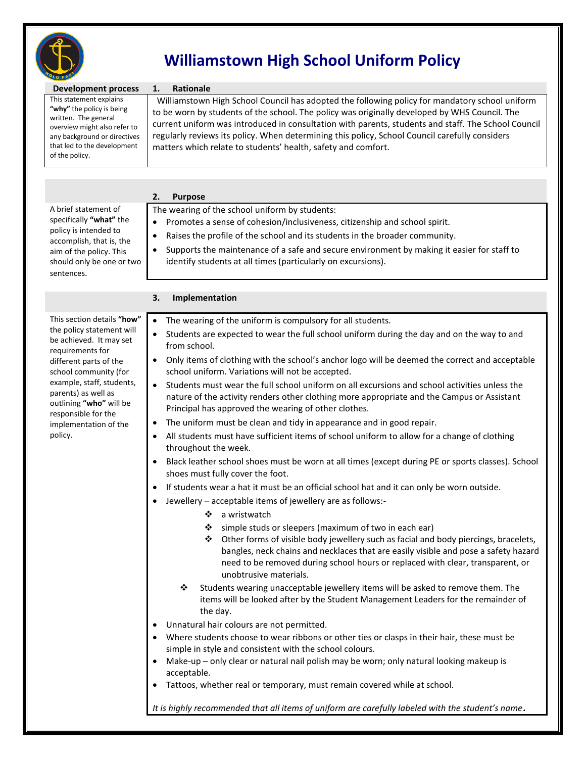

# **Williamstown High School Uniform Policy**

| 50 F                                                                                                                                                                                                                                                                                                |                                                                                                                                                                                                                                                                                                                                                                                                                                                                                                                                                                                                                                                                                                                                                                                                                                                                                                                                                                                                                                                                                                                                                                                                                                                                                                                                                                                                                                                                                                                                                                                                                                                                                                                                                                                                                                                                                                                                                                                                                                                                                                                                  |
|-----------------------------------------------------------------------------------------------------------------------------------------------------------------------------------------------------------------------------------------------------------------------------------------------------|----------------------------------------------------------------------------------------------------------------------------------------------------------------------------------------------------------------------------------------------------------------------------------------------------------------------------------------------------------------------------------------------------------------------------------------------------------------------------------------------------------------------------------------------------------------------------------------------------------------------------------------------------------------------------------------------------------------------------------------------------------------------------------------------------------------------------------------------------------------------------------------------------------------------------------------------------------------------------------------------------------------------------------------------------------------------------------------------------------------------------------------------------------------------------------------------------------------------------------------------------------------------------------------------------------------------------------------------------------------------------------------------------------------------------------------------------------------------------------------------------------------------------------------------------------------------------------------------------------------------------------------------------------------------------------------------------------------------------------------------------------------------------------------------------------------------------------------------------------------------------------------------------------------------------------------------------------------------------------------------------------------------------------------------------------------------------------------------------------------------------------|
| <b>Development process</b><br>This statement explains<br>"why" the policy is being<br>written. The general<br>overview might also refer to<br>any background or directives<br>that led to the development<br>of the policy.                                                                         | <b>Rationale</b><br>1.<br>Williamstown High School Council has adopted the following policy for mandatory school uniform<br>to be worn by students of the school. The policy was originally developed by WHS Council. The<br>current uniform was introduced in consultation with parents, students and staff. The School Council<br>regularly reviews its policy. When determining this policy, School Council carefully considers<br>matters which relate to students' health, safety and comfort.                                                                                                                                                                                                                                                                                                                                                                                                                                                                                                                                                                                                                                                                                                                                                                                                                                                                                                                                                                                                                                                                                                                                                                                                                                                                                                                                                                                                                                                                                                                                                                                                                              |
|                                                                                                                                                                                                                                                                                                     |                                                                                                                                                                                                                                                                                                                                                                                                                                                                                                                                                                                                                                                                                                                                                                                                                                                                                                                                                                                                                                                                                                                                                                                                                                                                                                                                                                                                                                                                                                                                                                                                                                                                                                                                                                                                                                                                                                                                                                                                                                                                                                                                  |
| A brief statement of<br>specifically "what" the<br>policy is intended to<br>accomplish, that is, the<br>aim of the policy. This<br>should only be one or two<br>sentences.                                                                                                                          | 2.<br><b>Purpose</b><br>The wearing of the school uniform by students:<br>Promotes a sense of cohesion/inclusiveness, citizenship and school spirit.<br>Raises the profile of the school and its students in the broader community.<br>$\bullet$<br>Supports the maintenance of a safe and secure environment by making it easier for staff to<br>$\bullet$<br>identify students at all times (particularly on excursions).                                                                                                                                                                                                                                                                                                                                                                                                                                                                                                                                                                                                                                                                                                                                                                                                                                                                                                                                                                                                                                                                                                                                                                                                                                                                                                                                                                                                                                                                                                                                                                                                                                                                                                      |
|                                                                                                                                                                                                                                                                                                     |                                                                                                                                                                                                                                                                                                                                                                                                                                                                                                                                                                                                                                                                                                                                                                                                                                                                                                                                                                                                                                                                                                                                                                                                                                                                                                                                                                                                                                                                                                                                                                                                                                                                                                                                                                                                                                                                                                                                                                                                                                                                                                                                  |
|                                                                                                                                                                                                                                                                                                     | 3.<br>Implementation                                                                                                                                                                                                                                                                                                                                                                                                                                                                                                                                                                                                                                                                                                                                                                                                                                                                                                                                                                                                                                                                                                                                                                                                                                                                                                                                                                                                                                                                                                                                                                                                                                                                                                                                                                                                                                                                                                                                                                                                                                                                                                             |
| This section details "how"<br>the policy statement will<br>be achieved. It may set<br>requirements for<br>different parts of the<br>school community (for<br>example, staff, students,<br>parents) as well as<br>outlining "who" will be<br>responsible for the<br>implementation of the<br>policy. | The wearing of the uniform is compulsory for all students.<br>$\bullet$<br>Students are expected to wear the full school uniform during the day and on the way to and<br>from school.<br>Only items of clothing with the school's anchor logo will be deemed the correct and acceptable<br>$\bullet$<br>school uniform. Variations will not be accepted.<br>Students must wear the full school uniform on all excursions and school activities unless the<br>$\bullet$<br>nature of the activity renders other clothing more appropriate and the Campus or Assistant<br>Principal has approved the wearing of other clothes.<br>The uniform must be clean and tidy in appearance and in good repair.<br>$\bullet$<br>All students must have sufficient items of school uniform to allow for a change of clothing<br>$\bullet$<br>throughout the week.<br>Black leather school shoes must be worn at all times (except during PE or sports classes). School<br>shoes must fully cover the foot.<br>If students wear a hat it must be an official school hat and it can only be worn outside.<br>Jewellery - acceptable items of jewellery are as follows:-<br>❖<br>a wristwatch<br>simple studs or sleepers (maximum of two in each ear)<br>❖<br>Other forms of visible body jewellery such as facial and body piercings, bracelets,<br>❖<br>bangles, neck chains and necklaces that are easily visible and pose a safety hazard<br>need to be removed during school hours or replaced with clear, transparent, or<br>unobtrusive materials.<br>❖<br>Students wearing unacceptable jewellery items will be asked to remove them. The<br>items will be looked after by the Student Management Leaders for the remainder of<br>the day.<br>Unnatural hair colours are not permitted.<br>Where students choose to wear ribbons or other ties or clasps in their hair, these must be<br>simple in style and consistent with the school colours.<br>Make-up - only clear or natural nail polish may be worn; only natural looking makeup is<br>acceptable.<br>Tattoos, whether real or temporary, must remain covered while at school. |
|                                                                                                                                                                                                                                                                                                     | It is highly recommended that all items of uniform are carefully labeled with the student's name.                                                                                                                                                                                                                                                                                                                                                                                                                                                                                                                                                                                                                                                                                                                                                                                                                                                                                                                                                                                                                                                                                                                                                                                                                                                                                                                                                                                                                                                                                                                                                                                                                                                                                                                                                                                                                                                                                                                                                                                                                                |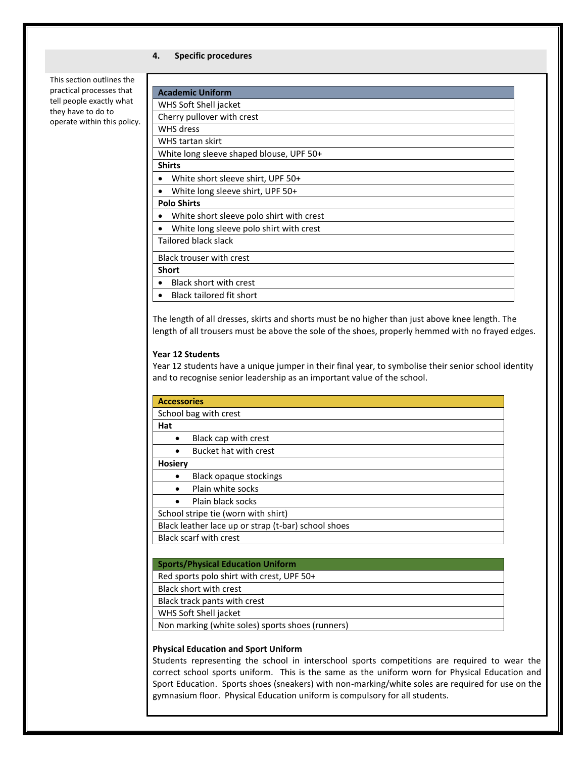### **4. Specific procedures**

This section outlines the practical processes that tell people exactly what they have to do to operate within this policy.

The length of all dresses, skirts and shorts must be no higher than just above knee length. The length of all trousers must be above the sole of the shoes, properly hemmed with no frayed edges.

## **Year 12 Students**

Year 12 students have a unique jumper in their final year, to symbolise their senior school identity and to recognise senior leadership as an important value of the school.

| <b>Accessories</b>                                  |                               |  |
|-----------------------------------------------------|-------------------------------|--|
| School bag with crest                               |                               |  |
| Hat                                                 |                               |  |
|                                                     | Black cap with crest          |  |
|                                                     | Bucket hat with crest         |  |
| <b>Hosiery</b>                                      |                               |  |
|                                                     | <b>Black opaque stockings</b> |  |
|                                                     | Plain white socks             |  |
|                                                     | Plain black socks             |  |
| School stripe tie (worn with shirt)                 |                               |  |
| Black leather lace up or strap (t-bar) school shoes |                               |  |
| <b>Black scarf with crest</b>                       |                               |  |
|                                                     |                               |  |
| <b>Sports/Physical Education Uniform</b>            |                               |  |
| Red sports polo shirt with crest, UPF 50+           |                               |  |
| <b>Black short with crest</b>                       |                               |  |
| Black track pants with crest                        |                               |  |
| WHS Soft Shell jacket                               |                               |  |

Non marking (white soles) sports shoes (runners)

#### **Physical Education and Sport Uniform**

Students representing the school in interschool sports competitions are required to wear the correct school sports uniform. This is the same as the uniform worn for Physical Education and Sport Education. Sports shoes (sneakers) with non-marking/white soles are required for use on the gymnasium floor. Physical Education uniform is compulsory for all students.